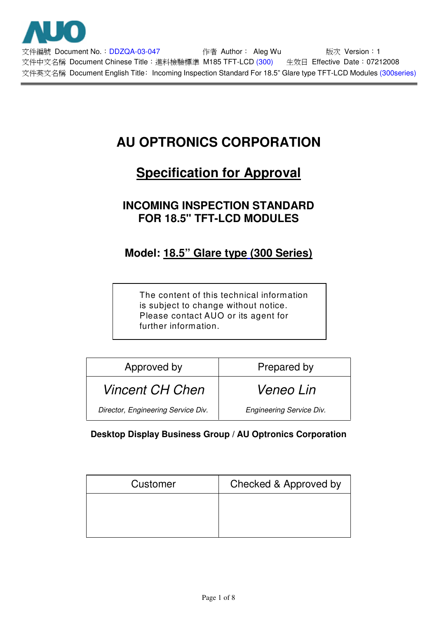

文件編號 Document No.: DDZQA-03-047 <br> **Ocalled Author** Aleg Wu book 版次 Version: 1 文件中文名稱 Document Chinese Title: 進料檢驗標準 M185 TFT-LCD (300) 生效日 Effective Date: 07212008 文件英文名稱 Document English Title: Incoming Inspection Standard For 18.5" Glare type TFT-LCD Modules (300series)

# **AU OPTRONICS CORPORATION**

# **Specification for Approval**

# **INCOMING INSPECTION STANDARD FOR 18.5" TFT-LCD MODULES**

# **Model: 18.5" Glare type (300 Series)**

The content of this technical information is subject to change without notice. Please contact AUO or its agent for further information.

| Approved by                        | Prepared by                     |  |  |
|------------------------------------|---------------------------------|--|--|
| <b>Vincent CH Chen</b>             | <i>Veneo Lin</i>                |  |  |
| Director, Engineering Service Div. | <b>Engineering Service Div.</b> |  |  |

## **Desktop Display Business Group / AU Optronics Corporation**

| Customer | Checked & Approved by |  |  |
|----------|-----------------------|--|--|
|          |                       |  |  |
|          |                       |  |  |
|          |                       |  |  |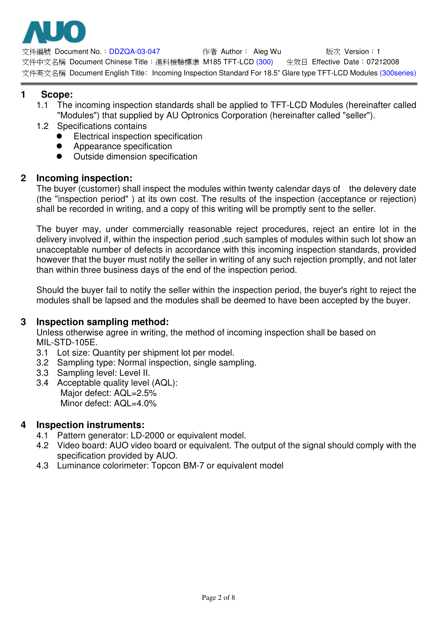

文件編號 Document No.:DDZQA-03-047 作者 Author: Aleg Wu 版次 Version:1 文件中文名稱 Document Chinese Title: 淮料檢驗標進 M185 TFT-LCD (300) 9 生效日 Effective Date: 07212008 文件英文名稱 Document English Title: Incoming Inspection Standard For 18.5" Glare type TFT-LCD Modules (300series)

## **1 Scope:**

- 1.1 The incoming inspection standards shall be applied to TFT-LCD Modules (hereinafter called "Modules") that supplied by AU Optronics Corporation (hereinafter called "seller").
- 1.2 Specifications contains
	- Electrical inspection specification
	- ! Appearance specification
	- Outside dimension specification

### **2 Incoming inspection:**

The buyer (customer) shall inspect the modules within twenty calendar days of the delevery date (the "inspection period" ) at its own cost. The results of the inspection (acceptance or rejection) shall be recorded in writing, and a copy of this writing will be promptly sent to the seller.

The buyer may, under commercially reasonable reject procedures, reject an entire lot in the delivery involved if, within the inspection period ,such samples of modules within such lot show an unacceptable number of defects in accordance with this incoming inspection standards, provided however that the buyer must notify the seller in writing of any such rejection promptly, and not later than within three business days of the end of the inspection period.

Should the buyer fail to notify the seller within the inspection period, the buyer's right to reject the modules shall be lapsed and the modules shall be deemed to have been accepted by the buyer.

#### **3 Inspection sampling method:**

Unless otherwise agree in writing, the method of incoming inspection shall be based on MIL-STD-105E.

- 3.1 Lot size: Quantity per shipment lot per model.
- 3.2 Sampling type: Normal inspection, single sampling.
- 3.3 Sampling level: Level II.
- 3.4 Acceptable quality level (AQL): Major defect: AQL=2.5% Minor defect: AQL=4.0%

#### **4 Inspection instruments:**

- 4.1 Pattern generator: LD-2000 or equivalent model.
- 4.2 Video board: AUO video board or equivalent. The output of the signal should comply with the specification provided by AUO.
- 4.3 Luminance colorimeter: Topcon BM-7 or equivalent model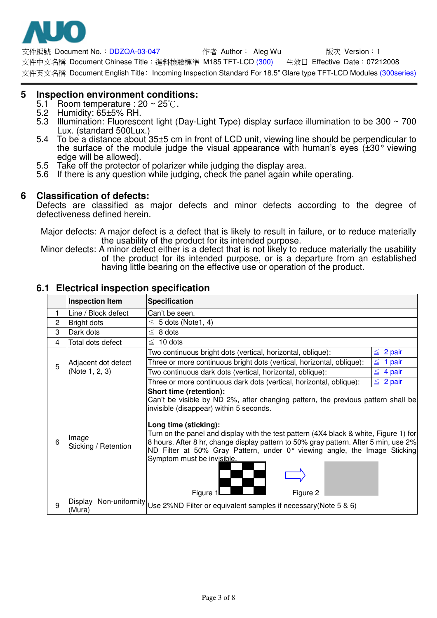

文件編號 Document No.: DDZQA-03-047     作者 Author: Aleg Wu     版次 Version: 1 文件中文名稱 Document Chinese Title: 淮料檢驗標進 M185 TFT-LCD (300) 9 生效日 Effective Date: 07212008 文件英文名稱 Document English Title: Incoming Inspection Standard For 18.5" Glare type TFT-LCD Modules (300series)

#### **5 Inspection environment conditions:**

- 5.1 Room temperature : 20 ~ 25°C.<br>5.2 Humidity: 65±5% RH.<br>5.3 Illumination: Fluorescent light (I
- 
- Illumination: Fluorescent light (Day-Light Type) display surface illumination to be 300  $\sim$  700 Lux. (standard 500Lux.)
- 5.4 To be a distance about 35±5 cm in front of LCD unit, viewing line should be perpendicular to the surface of the module judge the visual appearance with human's eyes (±30° viewing edge will be allowed).
- 5.5 Take off the protector of polarizer while judging the display area.
- 5.6 If there is any question while judging, check the panel again while operating.

#### **6 Classification of defects:**

Defects are classified as major defects and minor defects according to the degree of defectiveness defined herein.

- Major defects: A major defect is a defect that is likely to result in failure, or to reduce materially the usability of the product for its intended purpose.
- Minor defects: A minor defect either is a defect that is not likely to reduce materially the usability of the product for its intended purpose, or is a departure from an established having little bearing on the effective use or operation of the product.

|                | <b>Inspection Item</b>                | <b>Specification</b>                                                                                                                                                                                                                                                                                                                                                                                                                                                                                |               |
|----------------|---------------------------------------|-----------------------------------------------------------------------------------------------------------------------------------------------------------------------------------------------------------------------------------------------------------------------------------------------------------------------------------------------------------------------------------------------------------------------------------------------------------------------------------------------------|---------------|
| 1              | Line / Block defect                   | Can't be seen.                                                                                                                                                                                                                                                                                                                                                                                                                                                                                      |               |
| $\overline{c}$ | Bright dots                           | $\leq 5$ dots (Note1, 4)                                                                                                                                                                                                                                                                                                                                                                                                                                                                            |               |
| 3              | Dark dots                             | $\leq 8$ dots                                                                                                                                                                                                                                                                                                                                                                                                                                                                                       |               |
| 4              | Total dots defect                     | $\leq 10$ dots                                                                                                                                                                                                                                                                                                                                                                                                                                                                                      |               |
|                | Adjacent dot defect<br>(Note 1, 2, 3) | Two continuous bright dots (vertical, horizontal, oblique):                                                                                                                                                                                                                                                                                                                                                                                                                                         | $\leq 2$ pair |
| 5              |                                       | Three or more continuous bright dots (vertical, horizontal, oblique):                                                                                                                                                                                                                                                                                                                                                                                                                               | 1 pair<br>≦   |
|                |                                       | Two continuous dark dots (vertical, horizontal, oblique):                                                                                                                                                                                                                                                                                                                                                                                                                                           | $\leq 4$ pair |
|                |                                       | Three or more continuous dark dots (vertical, horizontal, oblique):                                                                                                                                                                                                                                                                                                                                                                                                                                 | $\leq 2$ pair |
| 6              | Image<br>Sticking / Retention         | Short time (retention):<br>Can't be visible by ND 2%, after changing pattern, the previous pattern shall be<br>invisible (disappear) within 5 seconds.<br>Long time (sticking):<br>Turn on the panel and display with the test pattern (4X4 black & white, Figure 1) for<br>8 hours. After 8 hr, change display pattern to 50% gray pattern. After 5 min, use 2%<br>ND Filter at 50% Gray Pattern, under 0° viewing angle, the Image Sticking<br>Symptom must be invisible.<br>Figure 1<br>Figure 2 |               |
| 9              |                                       | $\overline{Display}$ Non-uniformity Use 2%ND Filter or equivalent samples if necessary (Note 5 & 6)                                                                                                                                                                                                                                                                                                                                                                                                 |               |

#### **6.1 Electrical inspection specification**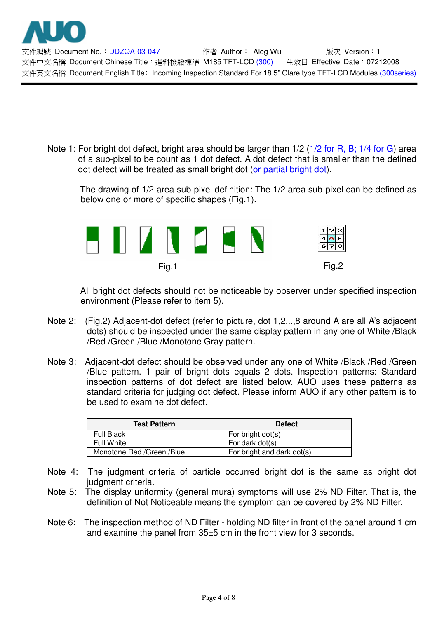

文件編號 Document No.: DDZQA-03-047 作者 Author: Aleg Wu 版次 Version: 1 文件中文名稱 Document Chinese Title: 淮料檢驗標進 M185 TFT-LCD (300) 9 生效日 Effective Date: 07212008 文件英文名稱 Document English Title: Incoming Inspection Standard For 18.5" Glare type TFT-LCD Modules (300series)

Note 1: For bright dot defect, bright area should be larger than 1/2 (1/2 for R, B; 1/4 for G) area of a sub-pixel to be count as 1 dot defect. A dot defect that is smaller than the defined dot defect will be treated as small bright dot (or partial bright dot).

The drawing of 1/2 area sub-pixel definition: The 1/2 area sub-pixel can be defined as below one or more of specific shapes (Fig.1).



All bright dot defects should not be noticeable by observer under specified inspection environment (Please refer to item 5).

- Note 2: (Fig.2) Adjacent-dot defect (refer to picture, dot 1,2,..,8 around A are all A's adjacent dots) should be inspected under the same display pattern in any one of White /Black /Red /Green /Blue /Monotone Gray pattern.
- Note 3: Adjacent-dot defect should be observed under any one of White /Black /Red /Green /Blue pattern. 1 pair of bright dots equals 2 dots. Inspection patterns: Standard inspection patterns of dot defect are listed below. AUO uses these patterns as standard criteria for judging dot defect. Please inform AUO if any other pattern is to be used to examine dot defect.

| <b>Test Pattern</b>       | <b>Defect</b>              |  |  |
|---------------------------|----------------------------|--|--|
| <b>Full Black</b>         | For bright dot(s)          |  |  |
| <b>Full White</b>         | For dark dot(s)            |  |  |
| Monotone Red /Green /Blue | For bright and dark dot(s) |  |  |

- Note 4: The judgment criteria of particle occurred bright dot is the same as bright dot judgment criteria.
- Note 5: The display uniformity (general mura) symptoms will use 2% ND Filter. That is, the definition of Not Noticeable means the symptom can be covered by 2% ND Filter.
- Note 6: The inspection method of ND Filter holding ND filter in front of the panel around 1 cm and examine the panel from 35±5 cm in the front view for 3 seconds.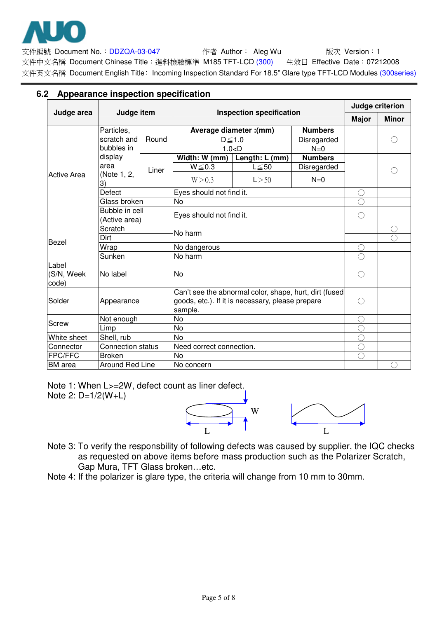

文件編號 Document No.: DDZQA-03-047 <br> **Ocalled Author** Aleg Wu book 版次 Version: 1 文件中文名稱 Document Chinese Title: 進料檢驗標準 M185 TFT-LCD (300) 生效日 Effective Date: 07212008 文件英文名稱 Document English Title: Incoming Inspection Standard For 18.5" Glare type TFT-LCD Modules (300series)

## **6.2 Appearance inspection specification**

|                | Judge item               |         | <b>Inspection specification</b>                        |                |                | Judge criterion |              |
|----------------|--------------------------|---------|--------------------------------------------------------|----------------|----------------|-----------------|--------------|
| Judge area     |                          |         |                                                        |                |                | <b>Major</b>    | <b>Minor</b> |
|                | Particles,               |         | Average diameter : (mm)                                |                | <b>Numbers</b> |                 |              |
|                | scratch and              | Round   | $D \le 1.0$                                            |                | Disregarded    |                 |              |
|                | bubbles in               |         | 1.0 < D                                                |                | $N=0$          |                 |              |
|                | display                  | Liner   | Width: W (mm)                                          | Length: L (mm) | <b>Numbers</b> |                 |              |
|                | area                     |         | $W \le 0.3$                                            | $L \leq 50$    | Disregarded    |                 |              |
| Active Area    | (Note 1, 2,<br>3)        |         | W > 0.3                                                | L > 50         | $N=0$          |                 |              |
|                | <b>Defect</b>            |         | Eyes should not find it.                               |                |                | ( )             |              |
|                | Glass broken             |         | <b>No</b>                                              |                |                |                 |              |
|                | Bubble in cell           |         | Eyes should not find it.                               |                |                | ∩               |              |
|                | (Active area)            |         |                                                        |                |                |                 |              |
|                | Scratch                  |         | No harm                                                |                |                |                 |              |
| Bezel          | Dirt                     |         |                                                        |                |                |                 |              |
|                | Wrap                     |         | No dangerous                                           |                |                | O               |              |
| Sunken         |                          | No harm |                                                        |                |                |                 |              |
| Label          |                          |         |                                                        |                |                |                 |              |
| (S/N, Week     | No label                 |         | No.                                                    |                |                | $( \ )$         |              |
| code)          |                          |         |                                                        |                |                |                 |              |
|                | Appearance               |         | Can't see the abnormal color, shape, hurt, dirt (fused |                |                |                 |              |
| Solder         |                          |         | goods, etc.). If it is necessary, please prepare       |                |                | $( \ )$         |              |
|                |                          |         | sample.                                                |                |                |                 |              |
| <b>Screw</b>   | Not enough               |         | <b>No</b>                                              |                |                |                 |              |
| White sheet    | Limp<br>Shell, rub       |         | No<br><b>No</b>                                        |                |                |                 |              |
| Connector      | <b>Connection status</b> |         | Need correct connection.                               |                | C              |                 |              |
| FPC/FFC        | <b>Broken</b>            |         | <b>No</b>                                              |                |                |                 |              |
| <b>BM</b> area | <b>Around Red Line</b>   |         | No concern                                             |                |                |                 |              |
|                |                          |         |                                                        |                |                |                 |              |

Note 1: When L>=2W, defect count as liner defect. Note 2: D=1/2(W+L)



- Note 3: To verify the responsbility of following defects was caused by supplier, the IQC checks as requested on above items before mass production such as the Polarizer Scratch, Gap Mura, TFT Glass broken…etc.
- Note 4: If the polarizer is glare type, the criteria will change from 10 mm to 30mm.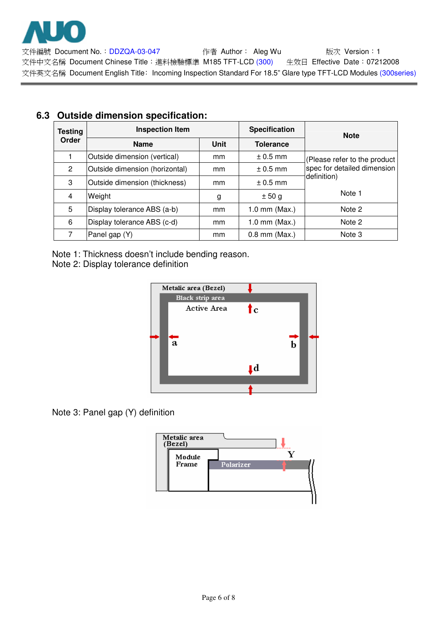

文件編號 Document No.: DDZQA-03-047 <br> **Ocalled Author** Aleg Wu book 版次 Version: 1 文件中文名稱 Document Chinese Title: 進料檢驗標準 M185 TFT-LCD (300) 生效日 Effective Date: 07212008 文件英文名稱 Document English Title: Incoming Inspection Standard For 18.5" Glare type TFT-LCD Modules (300series)

| <b>Testing</b> | <b>Inspection Item</b>         |      | <b>Specification</b> | <b>Note</b>                  |  |
|----------------|--------------------------------|------|----------------------|------------------------------|--|
| Order          | <b>Name</b>                    | Unit | <b>Tolerance</b>     |                              |  |
|                | Outside dimension (vertical)   | mm   | $\pm$ 0.5 mm         | (Please refer to the product |  |
| 2              | Outside dimension (horizontal) | mm   | $\pm$ 0.5 mm         | spec for detailed dimension  |  |
| 3              | Outside dimension (thickness)  | mm   | $\pm$ 0.5 mm         | definition)                  |  |
| 4              | Weight                         | g    | ± 50 g               | Note 1                       |  |
| 5              | Display tolerance ABS (a-b)    | mm   | $1.0$ mm (Max.)      | Note 2                       |  |
| 6              | Display tolerance ABS (c-d)    | mm   | $1.0$ mm (Max.)      | Note 2                       |  |
|                | Panel gap (Y)                  | mm   | $0.8$ mm (Max.)      | Note 3                       |  |

# **6.3 Outside dimension specification:**

Note 1: Thickness doesn't include bending reason.

Note 2: Display tolerance definition



Note 3: Panel gap (Y) definition

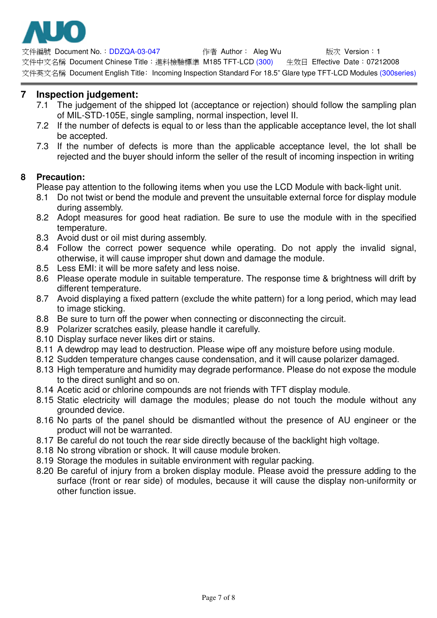

文件編號 Document No.: DDZQA-03-047 作者 Author: Aleg Wu 版次 Version: 1 文件中文名稱 Document Chinese Title: 淮料檢驗標進 M185 TFT-LCD (300) 9 生效日 Effective Date: 07212008 文件英文名稱 Document English Title: Incoming Inspection Standard For 18.5" Glare type TFT-LCD Modules (300series)

## **7 Inspection judgement:**

- 7.1 The judgement of the shipped lot (acceptance or rejection) should follow the sampling plan of MIL-STD-105E, single sampling, normal inspection, level II.
- 7.2 If the number of defects is equal to or less than the applicable acceptance level, the lot shall be accepted.
- 7.3 If the number of defects is more than the applicable acceptance level, the lot shall be rejected and the buyer should inform the seller of the result of incoming inspection in writing

### **8 Precaution:**

Please pay attention to the following items when you use the LCD Module with back-light unit.

- 8.1 Do not twist or bend the module and prevent the unsuitable external force for display module during assembly.
- 8.2 Adopt measures for good heat radiation. Be sure to use the module with in the specified temperature.
- 8.3 Avoid dust or oil mist during assembly.
- 8.4 Follow the correct power sequence while operating. Do not apply the invalid signal, otherwise, it will cause improper shut down and damage the module.
- 8.5 Less EMI: it will be more safety and less noise.
- 8.6 Please operate module in suitable temperature. The response time & brightness will drift by different temperature.
- 8.7 Avoid displaying a fixed pattern (exclude the white pattern) for a long period, which may lead to image sticking.
- 8.8 Be sure to turn off the power when connecting or disconnecting the circuit.
- 8.9 Polarizer scratches easily, please handle it carefully.
- 8.10 Display surface never likes dirt or stains.
- 8.11 A dewdrop may lead to destruction. Please wipe off any moisture before using module.
- 8.12 Sudden temperature changes cause condensation, and it will cause polarizer damaged.
- 8.13 High temperature and humidity may degrade performance. Please do not expose the module to the direct sunlight and so on.
- 8.14 Acetic acid or chlorine compounds are not friends with TFT display module.
- 8.15 Static electricity will damage the modules; please do not touch the module without any grounded device.
- 8.16 No parts of the panel should be dismantled without the presence of AU engineer or the product will not be warranted.
- 8.17 Be careful do not touch the rear side directly because of the backlight high voltage.
- 8.18 No strong vibration or shock. It will cause module broken.
- 8.19 Storage the modules in suitable environment with regular packing.
- 8.20 Be careful of injury from a broken display module. Please avoid the pressure adding to the surface (front or rear side) of modules, because it will cause the display non-uniformity or other function issue.